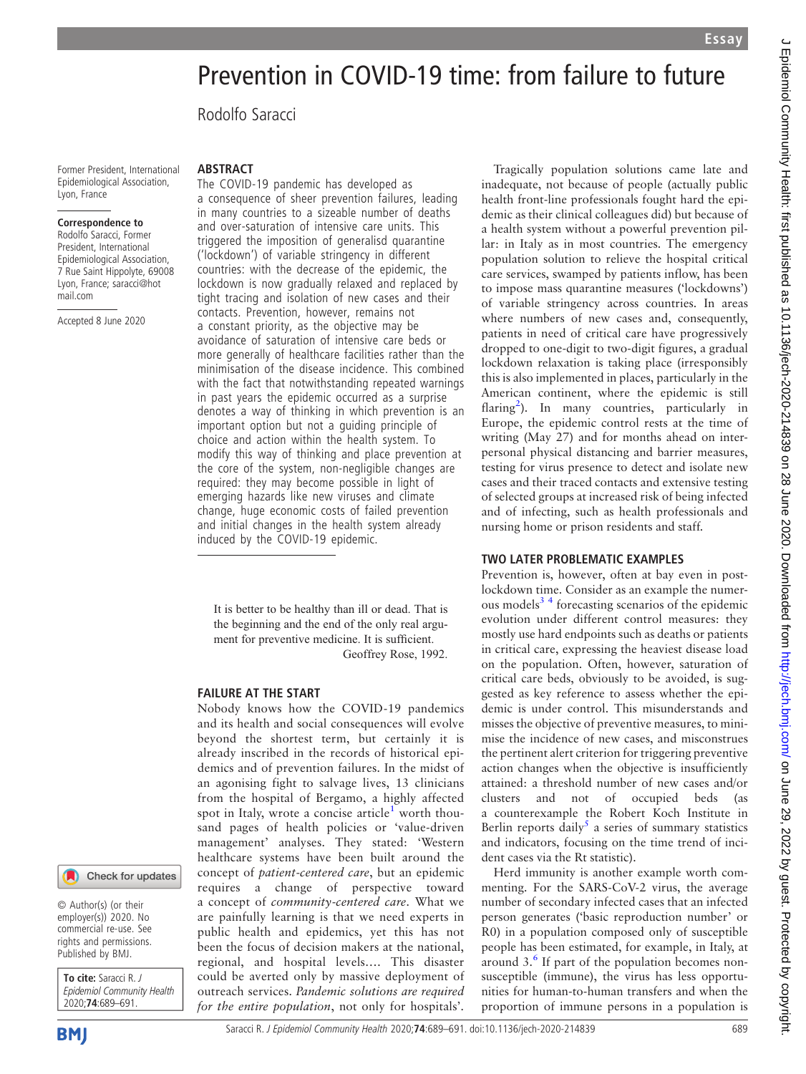# J Epidemiol Community Health: first published as 10.1136/jech-2020-214839 on 28 June 2020. Downloaded from http://jech.bmj.com/ on June 29, 2022 by guest. Protected by copyright J Epidemiol Community Health: first published as 10.1136/jech-2020-214839 on 28 June 2020. Downloaded from http://jech. pm/ Z9, 2022 by guest. Protected by copyright.

# Prevention in COVID-19 time: from failure to future

Rodolfo Saracci

Former President, International Epidemiological Association, Lyon, France

### Correspondence to

Rodolfo Saracci, Former President, International Epidemiological Association, 7 Rue Saint Hippolyte, 69008 Lyon, France; [saracci@hot](mailto:saracci@hotmail.com) [mail.com](mailto:saracci@hotmail.com)

Accepted 8 June 2020

# **ABSTRACT**

The COVID-19 pandemic has developed as a consequence of sheer prevention failures, leading in many countries to a sizeable number of deaths and over-saturation of intensive care units. This triggered the imposition of generalisd quarantine ('lockdown') of variable stringency in different countries: with the decrease of the epidemic, the lockdown is now gradually relaxed and replaced by tight tracing and isolation of new cases and their contacts. Prevention, however, remains not a constant priority, as the objective may be avoidance of saturation of intensive care beds or more generally of healthcare facilities rather than the minimisation of the disease incidence. This combined with the fact that notwithstanding repeated warnings in past years the epidemic occurred as a surprise denotes a way of thinking in which prevention is an important option but not a guiding principle of choice and action within the health system. To modify this way of thinking and place prevention at the core of the system, non-negligible changes are required: they may become possible in light of emerging hazards like new viruses and climate change, huge economic costs of failed prevention and initial changes in the health system already induced by the COVID-19 epidemic.

It is better to be healthy than ill or dead. That is the beginning and the end of the only real argument for preventive medicine. It is sufficient. Geoffrey Rose, 1992.

### FAILURE AT THE START

Nobody knows how the COVID-19 pandemics and its health and social consequences will evolve beyond the shortest term, but certainly it is already inscribed in the records of historical epidemics and of prevention failures. In the midst of an agonising fight to salvage lives, 13 clinicians from the hospital of Bergamo, a highly affected spot in Italy, wrote a concise article<sup>[1](#page-1-0)</sup> worth thousand pages of health policies or 'value-driven management' analyses. They stated: 'Western healthcare systems have been built around the concept of patient-centered care, but an epidemic requires a change of perspective toward a concept of community-centered care. What we are painfully learning is that we need experts in public health and epidemics, yet this has not been the focus of decision makers at the national, regional, and hospital levels…. This disaster could be averted only by massive deployment of outreach services. Pandemic solutions are required for the entire population, not only for hospitals'.

Tragically population solutions came late and inadequate, not because of people (actually public health front-line professionals fought hard the epidemic as their clinical colleagues did) but because of a health system without a powerful prevention pillar: in Italy as in most countries. The emergency population solution to relieve the hospital critical care services, swamped by patients inflow, has been to impose mass quarantine measures ('lockdowns') of variable stringency across countries. In areas where numbers of new cases and, consequently, patients in need of critical care have progressively dropped to one-digit to two-digit figures, a gradual lockdown relaxation is taking place (irresponsibly this is also implemented in places, particularly in the American continent, where the epidemic is still flaring<sup>[2](#page-1-1)</sup>). In many countries, particularly in Europe, the epidemic control rests at the time of writing (May 27) and for months ahead on interpersonal physical distancing and barrier measures, testing for virus presence to detect and isolate new cases and their traced contacts and extensive testing of selected groups at increased risk of being infected and of infecting, such as health professionals and nursing home or prison residents and staff.

## TWO LATER PROBLEMATIC EXAMPLES

Prevention is, however, often at bay even in postlockdown time. Consider as an example the numer-ous models<sup>[3](#page-1-2)4</sup> forecasting scenarios of the epidemic evolution under different control measures: they mostly use hard endpoints such as deaths or patients in critical care, expressing the heaviest disease load on the population. Often, however, saturation of critical care beds, obviously to be avoided, is suggested as key reference to assess whether the epidemic is under control. This misunderstands and misses the objective of preventive measures, to minimise the incidence of new cases, and misconstrues the pertinent alert criterion for triggering preventive action changes when the objective is insufficiently attained: a threshold number of new cases and/or clusters and not of occupied beds (as a counterexample the Robert Koch Institute in Berlin reports daily<sup>[5](#page-2-1)</sup> a series of summary statistics and indicators, focusing on the time trend of incident cases via the Rt statistic).

Herd immunity is another example worth commenting. For the SARS-CoV-2 virus, the average number of secondary infected cases that an infected person generates ('basic reproduction number' or R0) in a population composed only of susceptible people has been estimated, for example, in Italy, at around 3.[6](#page-2-2) If part of the population becomes nonsusceptible (immune), the virus has less opportunities for human-to-human transfers and when the proportion of immune persons in a population is



© Author(s) (or their employer(s)) 2020. No commercial re-use. See rights and permissions. Published by BMJ.

To cite: Saracci R. J Epidemiol Community Health 2020;74:689–691.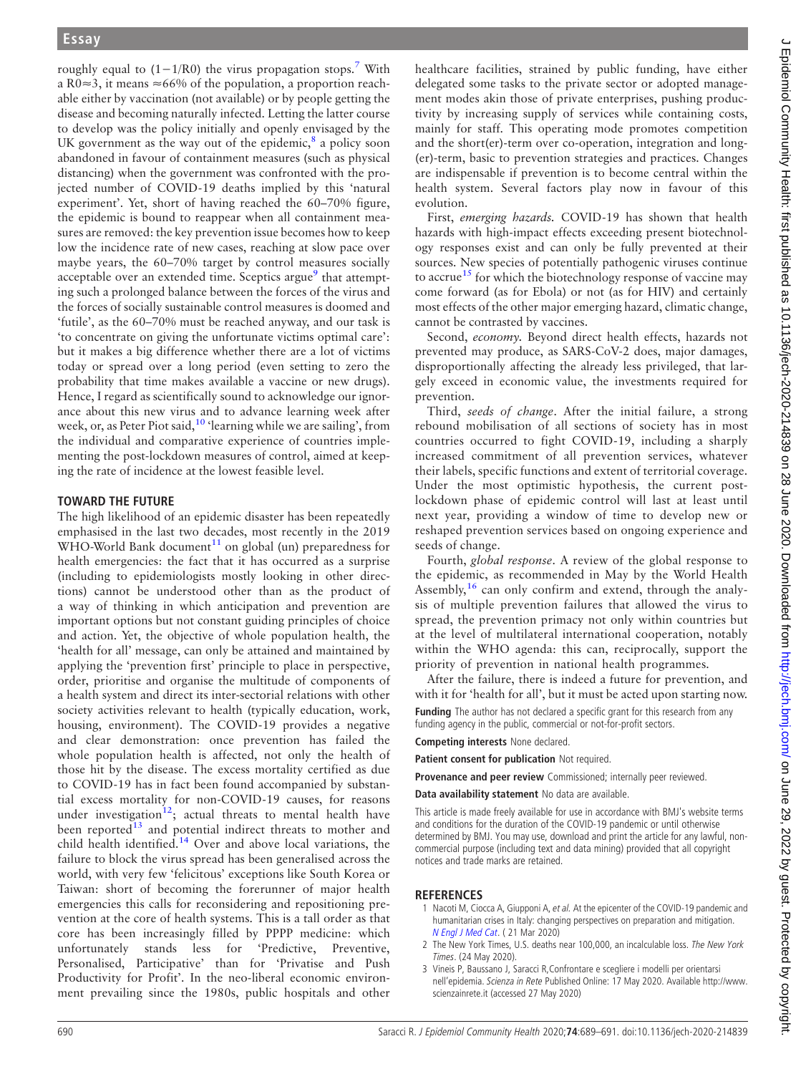roughly equal to  $(1-1/R0)$  the virus propagation stops.<sup>7</sup> With a R0≈3, it means ≈66% of the population, a proportion reachable either by vaccination (not available) or by people getting the disease and becoming naturally infected. Letting the latter course to develop was the policy initially and openly envisaged by the UK government as the way out of the epidemic, $\frac{8}{3}$  $\frac{8}{3}$  $\frac{8}{3}$  a policy soon abandoned in favour of containment measures (such as physical distancing) when the government was confronted with the projected number of COVID-19 deaths implied by this 'natural experiment'. Yet, short of having reached the 60–70% figure, the epidemic is bound to reappear when all containment measures are removed: the key prevention issue becomes how to keep low the incidence rate of new cases, reaching at slow pace over maybe years, the 60–70% target by control measures socially acceptable over an extended time. Sceptics  $\argue^9$  $\argue^9$  that attempting such a prolonged balance between the forces of the virus and the forces of socially sustainable control measures is doomed and 'futile', as the 60–70% must be reached anyway, and our task is 'to concentrate on giving the unfortunate victims optimal care': but it makes a big difference whether there are a lot of victims today or spread over a long period (even setting to zero the probability that time makes available a vaccine or new drugs). Hence, I regard as scientifically sound to acknowledge our ignorance about this new virus and to advance learning week after week, or, as Peter Piot said,  $10$  'learning while we are sailing', from the individual and comparative experience of countries implementing the post-lockdown measures of control, aimed at keeping the rate of incidence at the lowest feasible level.

# TOWARD THE FUTURE

The high likelihood of an epidemic disaster has been repeatedly emphasised in the last two decades, most recently in the 2019 WHO-World Bank document<sup>11</sup> on global (un) preparedness for health emergencies: the fact that it has occurred as a surprise (including to epidemiologists mostly looking in other directions) cannot be understood other than as the product of a way of thinking in which anticipation and prevention are important options but not constant guiding principles of choice and action. Yet, the objective of whole population health, the 'health for all' message, can only be attained and maintained by applying the 'prevention first' principle to place in perspective, order, prioritise and organise the multitude of components of a health system and direct its inter-sectorial relations with other society activities relevant to health (typically education, work, housing, environment). The COVID-19 provides a negative and clear demonstration: once prevention has failed the whole population health is affected, not only the health of those hit by the disease. The excess mortality certified as due to COVID-19 has in fact been found accompanied by substantial excess mortality for non-COVID-19 causes, for reasons under investigation<sup>[12](#page-2-8)</sup>; actual threats to mental health have been reported<sup>[13](#page-2-9)</sup> and potential indirect threats to mother and child health identified.<sup>[14](#page-2-10)</sup> Over and above local variations, the failure to block the virus spread has been generalised across the world, with very few 'felicitous' exceptions like South Korea or Taiwan: short of becoming the forerunner of major health emergencies this calls for reconsidering and repositioning prevention at the core of health systems. This is a tall order as that core has been increasingly filled by PPPP medicine: which unfortunately stands less for 'Predictive, Preventive, Personalised, Participative' than for 'Privatise and Push Productivity for Profit'. In the neo-liberal economic environment prevailing since the 1980s, public hospitals and other

First, emerging hazards. COVID-19 has shown that health hazards with high-impact effects exceeding present biotechnology responses exist and can only be fully prevented at their sources. New species of potentially pathogenic viruses continue to accrue<sup>[15](#page-2-11)</sup> for which the biotechnology response of vaccine may come forward (as for Ebola) or not (as for HIV) and certainly most effects of the other major emerging hazard, climatic change, cannot be contrasted by vaccines.

Second, economy. Beyond direct health effects, hazards not prevented may produce, as SARS-CoV-2 does, major damages, disproportionally affecting the already less privileged, that largely exceed in economic value, the investments required for prevention.

Third, seeds of change. After the initial failure, a strong rebound mobilisation of all sections of society has in most countries occurred to fight COVID-19, including a sharply increased commitment of all prevention services, whatever their labels, specific functions and extent of territorial coverage. Under the most optimistic hypothesis, the current postlockdown phase of epidemic control will last at least until next year, providing a window of time to develop new or reshaped prevention services based on ongoing experience and seeds of change.

Fourth, global response. A review of the global response to the epidemic, as recommended in May by the World Health Assembly,  $16$  can only confirm and extend, through the analysis of multiple prevention failures that allowed the virus to spread, the prevention primacy not only within countries but at the level of multilateral international cooperation, notably within the WHO agenda: this can, reciprocally, support the priority of prevention in national health programmes.

After the failure, there is indeed a future for prevention, and with it for 'health for all', but it must be acted upon starting now.

Funding The author has not declared a specific grant for this research from any funding agency in the public, commercial or not-for-profit sectors.

Competing interests None declared.

Patient consent for publication Not required.

Provenance and peer review Commissioned; internally peer reviewed.

Data availability statement No data are available.

This article is made freely available for use in accordance with BMJ's website terms and conditions for the duration of the COVID-19 pandemic or until otherwise determined by BMJ. You may use, download and print the article for any lawful, noncommercial purpose (including text and data mining) provided that all copyright notices and trade marks are retained.

# **REFERENCES**

- <span id="page-1-0"></span>1 Nacoti M, Ciocca A, Giupponi A, et al. At the epicenter of the COVID-19 pandemic and humanitarian crises in Italy: changing perspectives on preparation and mitigation. [N Engl J Med Cat](https://dx.doi.org/10.1056/CAT.20.0081.). ( 21 Mar 2020)
- <span id="page-1-1"></span>2 The New York Times, U.S. deaths near 100,000, an incalculable loss. The New York Times. (24 May 2020).
- <span id="page-1-2"></span>3 Vineis P, Baussano J, Saracci R,Confrontare e scegliere i modelli per orientarsi nell'epidemia. Scienza in Rete Published Online: 17 May 2020. Available [http://www.](http://www.scienzainrete.it) [scienzainrete.it](http://www.scienzainrete.it) (accessed 27 May 2020)